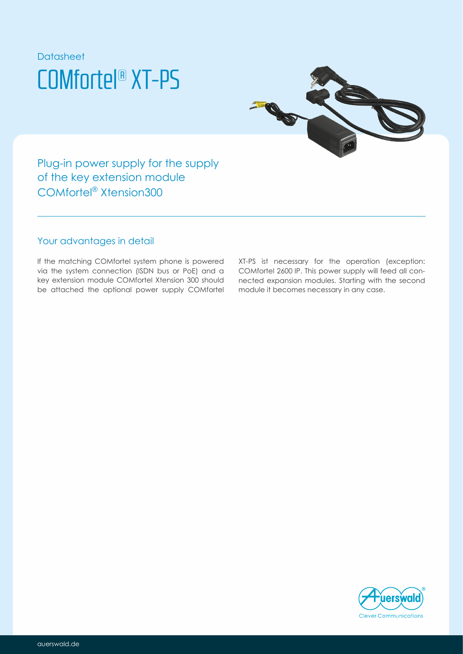



Plug-in power supply for the supply of the key extension module COMfortel<sup>®</sup> Xtension300

### Your advantages in detail

If the matching COMfortel system phone is powered via the system connection (ISDN bus or PoE) and a key extension module COMfortel Xtension 300 should be attached the optional power supply COMfortel

XT-PS ist necessary for the operation (exception: COMfortel 2600 IP. This power supply will feed all connected expansion modules. Starting with the second module it becomes necessary in any case.